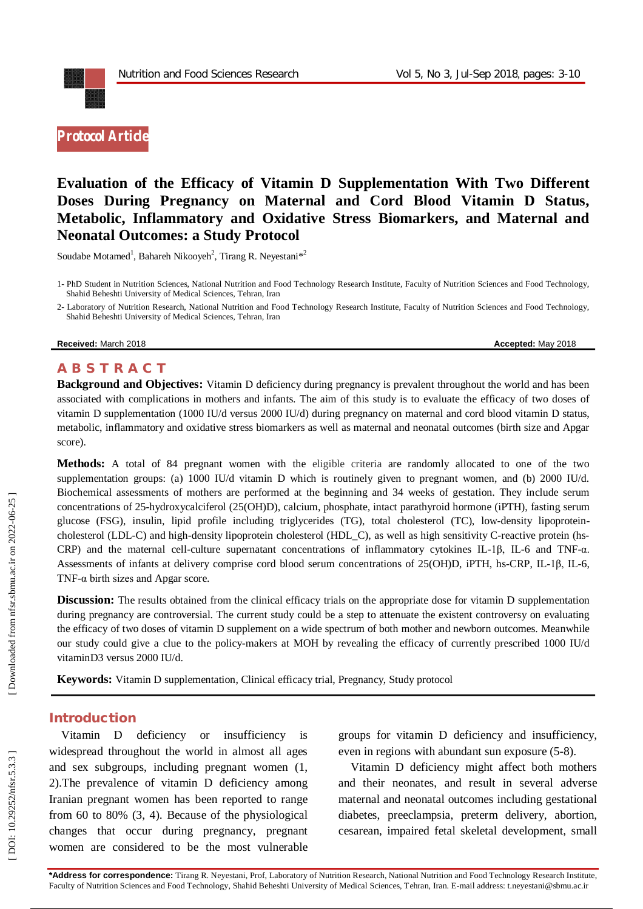

# **Evaluation of the Efficacy of Vitamin D Supplementation With Two Different Doses During Pregnancy on Maternal and Cord Blood Vitamin D Status, Metabolic, Inflammatory and Oxidative Stress Biomarkers, and Maternal and Neonatal Outcomes: a Study Protocol**

Soudabe Motamed<sup>1</sup>, Bahareh Nikooyeh<sup>2</sup>, Tirang R. Neyestani<sup>\*2</sup>

1 - Ph D Student in Nutrition Sciences, National Nutrition and Food Technology Research Institute , Faculty of Nutrition Sciences and Food Technology, Shahid Beheshti University of Medical Sciences, Tehran, Iran

2 - Laboratory of Nutrition Research, National Nutrition and Food Technology Research Institute , Faculty of Nutrition Sciences and Food Technology, Shahid Beheshti University of Medical Sciences, Tehran, Iran

**Received:** March 2018 **Accepted:** May 2018

# **A B S T R A C T**

**Background and Objectives:** Vitamin D deficiency during pregnancy is prevalent throughout the world and has been associated with complications in mothers and infants. The aim of this study is to evaluate the efficacy of two doses of vitamin D supplementation (1000 IU/d versus 2000 IU/d) during pregnancy on maternal and cord blood vitamin D status, metabolic, inflammatory and oxidative stress biomarkers as well as maternal and neonatal outcomes (birth size and Apgar score).

**Methods:** A total of 84 pregnant women with the eligible criteria are randomly allocated to one of the two supplementation groups: (a) 1000 IU/d vitamin D which is routinely given to pregnant women, and (b) 2000 IU/d. Biochemical assessments of mothers are performed at the beginning and 34 weeks of gestation. They include serum concentrations of 25 -hydroxycalciferol (25(OH)D), calcium, phosphate, intact parathyroid hormone (iPTH), fasting serum glucose (FSG), insulin, lipid profile including triglycerides (TG), total cholesterol (TC), low -density lipoprotein cholesterol (LDL-C) and high-density lipoprotein cholesterol (HDL\_C), as well as high sensitivity C-reactive protein (hs-CRP) and the maternal cell-culture supernatant concentrations of inflammatory cytokines IL-1β, IL-6 and TNF-α. Assessments of infants at delivery comprise cord blood serum concentrations of 25(OH)D, iPTH, hs-CRP, IL-1β, IL-6, TNF -α birth sizes and Apgar score.

**Discussion:** The results obtained from the clinical efficacy trials on the appropriate dose for vitamin D supplementation during pregnancy are controversial. The current study could be a step to attenuate the existent controversy on evaluating the efficacy of two doses of vitamin D supplement on a wide spectrum of both mother and newborn outcomes. Meanwhile our study could give a clue to the policy -makers at MOH by revealing the efficacy of currently prescribed 1000 IU/d vitaminD3 versus 2000 IU/d.

Keywords: Vitamin D supplementation, Clinical efficacy trial, Pregnancy, Study protocol

#### **Introduction**

Vitamin D deficiency or insufficiency is widespread throughout the world in almost all ages and sex subgroups, including pregnant women ( 1, 2 ) .The prevalence of vitamin D deficiency among Iranian pregnant women has been reported to range from 60 to 80% ( 3, 4 ). Because of the physiological changes that occur during pregnancy, pregnant women are considered to be the most vulnerable

groups for vitamin D deficiency and insufficiency, even in regions with abundant sun exposure (5-8).

Vitamin D deficiency might affect both mothers and their neonates, and result in several adverse maternal and neonatal outcomes including gestational diabetes, preeclampsia, preterm delivery, abortion, cesarean, impaired fetal skeletal development, small

Downloaded from nfsr.sbmu.ac.ir on 2022-06-25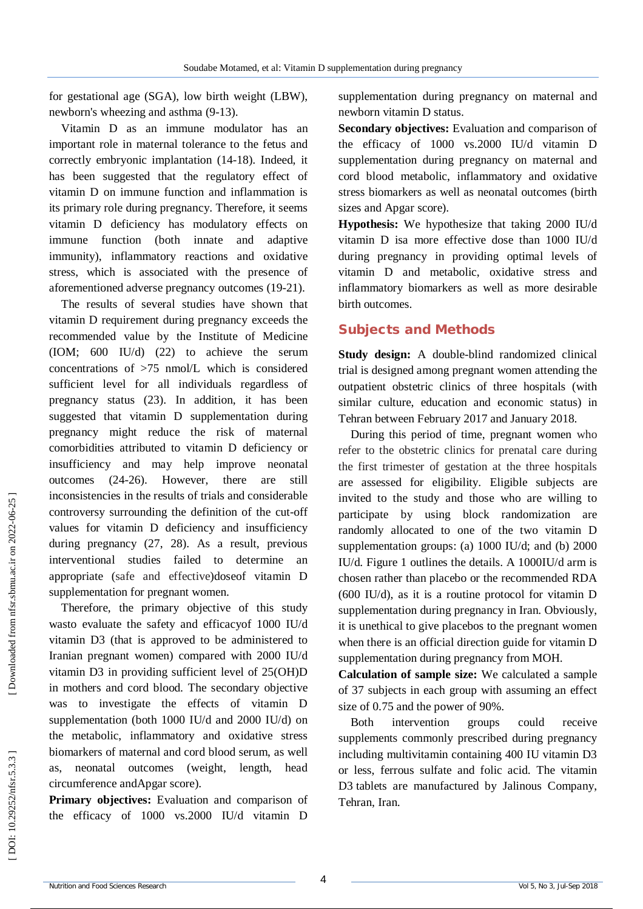for gestational age (SGA), low birth weight (LBW), newborn's wheezing and asthma (9-13).

Vitamin D as an immune modulator has an important role in maternal tolerance to the fetus and correctly embryonic implantation (14 -18 ) . Indeed, it has been suggested that the regulatory effect of vitamin D on immune function and inflammation is its primary role during pregnancy. Therefore, it seems vitamin D deficiency has modulatory effects on immune function (both innate and adaptive immunity), inflammatory reactions and oxidative stress, which is associated with the presence of aforementioned adverse pregnancy outcomes (19 -21 ).

The results of several studies have shown that vitamin D requirement during pregnancy exceeds the recommended value by the Institute of Medicine (IOM; 600 IU/d) (22 ) to achieve the serum concentrations of >75 nmol/L which is considered sufficient level for all individuals regardless of pregnancy status (23 ). In addition, it has been suggested that vitamin D supplementation during pregnancy might reduce the risk of maternal comorbidities attributed to vitamin D deficiency or insufficiency and may help improve neonatal outcomes (24 -26 ). However, there are still inconsistencies in the results of trials and considerable controversy surrounding the definition of the cut -off values for vitamin D deficiency and insufficiency during pregnancy (27, 28 ) . As a result, previous interventional studies failed to determine an appropriate (safe and effective)doseof vitamin D supplementation for pregnant women.

Therefore, the primary objective of this study wasto evaluate the safety and efficacyof 1000 IU/d vitamin D3 (that is approved to be administered to Iranian pregnant women) compared with 2000 IU/d vitamin D3 in providing sufficient level of 25(OH)D in mothers and cord blood. The secondary objective was to investigate the effects of vitamin D supplementation (both 1000 IU/d and 2000 IU/d) on the metabolic, inflammatory and oxidative stress biomarkers of maternal and cord blood serum, as well as, neonatal outcomes (weight, length, head circumference andApgar score).

**Primary objectives:** Evaluation and comparison of the efficacy of 1000 vs.2000 IU/d vitamin D supplementation during pregnancy on maternal and newborn vitamin D status.

**Secondary objectives:** Evaluation and comparison of the efficacy of 1000 vs.2000 IU/d vitamin D supplementation during pregnancy on maternal and cord blood metabolic, inflammatory and oxidative stress biomarkers as well as neonatal outcomes (birth sizes and Apgar score).

**Hypothesis:** We hypothesize that taking 2000 IU/d vitamin D isa more effective dose than 1000 IU/d during pregnancy in providing optimal levels of vitamin D and metabolic, oxidative stress and inflammatory biomarkers as well as more desirable birth outcomes.

# **Subjects and Methods**

Study design: A double-blind randomized clinical trial is designed among pregnant women attending the outpatient obstetric clinics of three hospitals (with similar culture, education and economic status) in Tehran between February 2017 and January 2018.

During this period of time, pregnant women who refer to the obstetric clinics for prenatal care during the first trimester of gestation at the three hospitals are assessed for eligibility. Eligible subjects are invited to the study and those who are willing to participate by using block randomization are randomly allocated to one of the two vitamin D supplementation groups: (a) 1000 IU/d; and (b) 2000 IU/d. Figure 1 outlines the details. A 1000IU/d arm is chosen rather than placebo or the recommended RDA (600 IU/d), as it is a routine protocol for vitamin D supplementation during pregnancy in Iran. Obviously, it is unethical to give placebos to the pregnant women when there is an official direction guide for vitamin D supplementation during pregnancy from MOH.

**Calculation of sample size:** We calculated a sample of 37 subjects in each group with assuming an effect size of 0.75 and the power of 90%.

Both intervention groups could receive supplements commonly prescribed during pregnancy including multivitamin containing 400 IU vitamin D3 or less, ferrous sulfate and folic acid. The vitamin D3 tablets are manufactured by Jalinous Company, Tehran, Iran.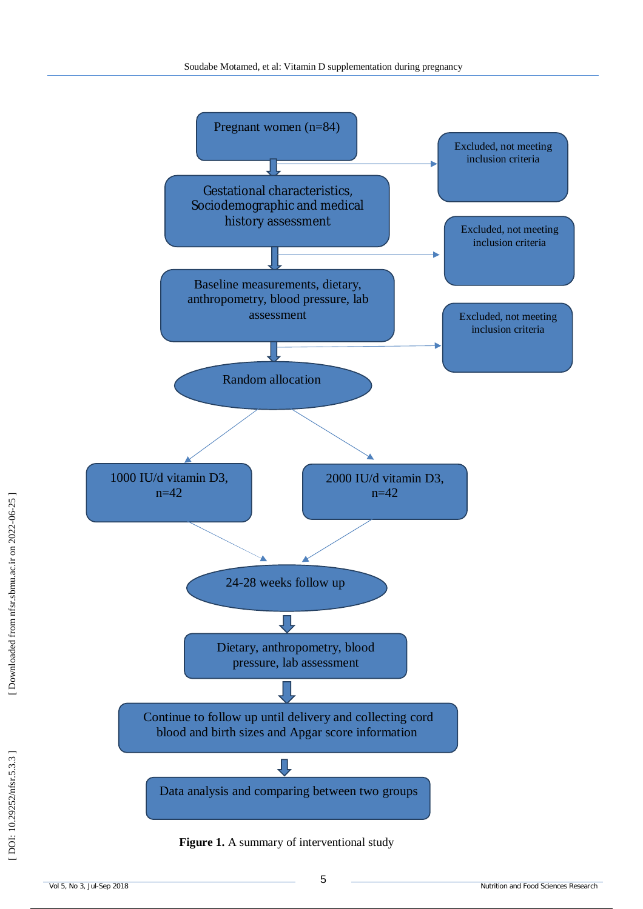

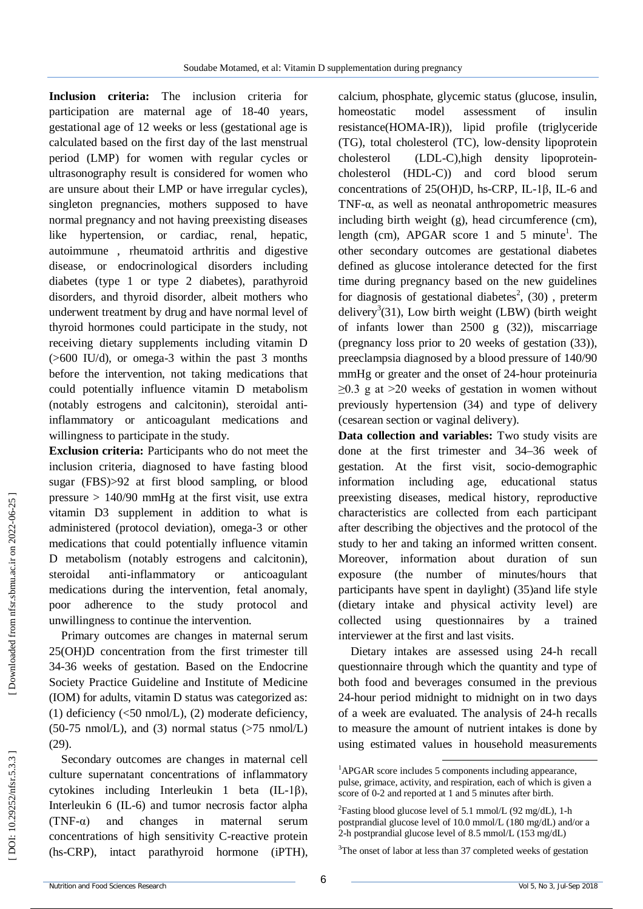**Inclusion criteria:** The inclusion criteria for participation are maternal age of 18 -40 years, gestational age of 12 weeks or less (gestational age is calculated based on the first day of the last menstrual period (LMP) for women with regular cycles or ultrasonography result is considered for women who are unsure about their LMP or have irregular cycles), singleton pregnancies, mothers supposed to have normal pregnancy and not having preexisting diseases like hypertension, or cardiac, renal, hepatic, autoimmune , rheumatoid arthritis and digestive disease, or endocrinological disorders including diabetes (type 1 or type 2 diabetes), parathyroid disorders, and thyroid disorder, albeit mothers who underwent treatment by drug and have normal level of thyroid hormones could participate in the study, not receiving dietary supplements including vitamin D (>600 IU/d), or omega -3 within the past 3 months before the intervention, not taking medications that could potentially influence vitamin D metabolism (notably estrogens and calcitonin), steroidal anti inflammatory or anticoagulant medications and willingness to participate in the study.

**Exclusion criteria:** Participants who do not meet the inclusion criteria, diagnosed to have fasting blood sugar (FBS)>92 at first blood sampling, or blood pressure  $> 140/90$  mmHg at the first visit, use extra vitamin D3 supplement in addition to what is administered (protocol deviation), omega -3 or other medications that could potentially influence vitamin D metabolism (notably estrogens and calcitonin), steroidal anti-inflammatory or anticoagulant medications during the intervention, fetal anomaly, poor adherence to the study protocol and unwillingness to continue the intervention.

Primary outcomes are changes in maternal serum 25(OH)D concentration from the first trimester till 34 -36 weeks of gestation. Based on the Endocrine Society Practice Guideline and Institute of Medicine (IOM) for adults, vitamin D status was categorized as: (1) deficiency  $\langle$  <50 nmol/L), (2) moderate deficiency,  $(50-75 \text{ nmol/L})$ , and  $(3)$  normal status  $(575 \text{ nmol/L})$ (29 ) .

Secondary outcomes are changes in maternal cell culture supernatant concentrations of inflammatory cytokines including Interleukin 1 beta (IL -1β), Interleukin 6 (IL -6) and tumor necrosis factor alpha  $(TNF-\alpha)$ and changes in maternal serum concentrations of high sensitivity C -reactive protein  $(hs-CRP)$ . intact parathyroid hormone (iPTH),

calcium, phosphate, glycemic status (glucose, insulin, homeostatic model assessment of insulin resistance(HOMA -IR)), lipid profile (triglyceride (TG), total cholesterol (TC), low -density lipoprotein cholesterol -C),high density lipoprotein cholesterol (HDL -C)) and cord blood serum concentrations of  $25(OH)D$ , hs-CRP, IL-1 $\beta$ , IL-6 and TNF -α, as well as neonatal anthropometric measures including birth weight (g), head circumference (cm), length (cm), APGAR score 1 and 5 minute<sup>1</sup>. The other secondary outcomes are gestational diabetes defined as glucose intolerance detected for the first time during pregnancy based on the new guidelines for diagnosis of gestational diabetes<sup>2</sup>, (30), preterm delivery<sup>3</sup>(31), Low birth weight (LBW) (birth weight of infants lower than 2500 g (32 )), miscarriage (pregnancy loss prior to 20 weeks of gestation (33 )), preeclampsia diagnosed by a blood pressure of 140/90 mmHg or greater and the onset of 24 -hour proteinuria  $\geq$ 0.3 g at  $>$ 20 weeks of gestation in women without previously hypertension (34 ) and type of delivery (cesarean section or vaginal delivery).

**Data collection and variables:** Two study visits are done at the first trimester and 34 –36 week of gestation. At the first visit, socio -demographic information including age, educational status preexisting diseases, medical history, reproductive characteristics are collected from each participant after describing the objectives and the protocol of the study to her and taking an informed written consent. Moreover, information about duration of sun exposure (the number of minutes/hours that participants have spent in daylight) (35 )and life style (dietary intake and physical activity level) are collected using questionnaires by a trained interviewer at the first and last visits.

Dietary intakes are assessed using 24 -h recall questionnaire through which the quantity and type of both food and beverages consumed in the previous 24 -hour period midnight to midnight on in two days of a week are evaluated. The analysis of 24 -h recalls to measure the amount of nutrient intakes is done by using estimated values in household measurements

-

<sup>&</sup>lt;sup>1</sup>APGAR score includes 5 components including appearance, pulse, grimace, activity, and respiration, each of which is given a score of 0 -2 and reported at 1 and 5 minutes after birth.

<sup>&</sup>lt;sup>2</sup> Fasting blood glucose level of 5.1 mmol/L (92 mg/dL), 1-h postprandial glucose level of 10.0 mmol/L (180 mg/dL) and/or a 2-h postprandial glucose level of 8.5 mmol/L (153 mg/dL)

<sup>&</sup>lt;sup>3</sup>The onset of labor at less than 37 completed weeks of gestation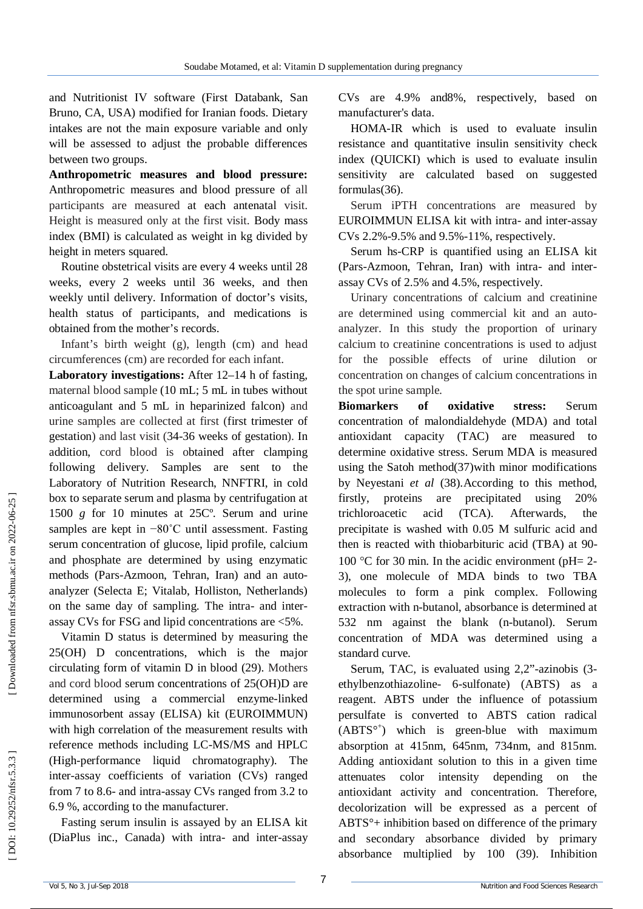and Nutritionist IV software (First Databank, San Bruno, CA, USA) modified for Iranian foods. Dietary intakes are not the main exposure variable and only will be assessed to adjust the probable differences between two groups.

**Anthropometric measures and blood pressure:**  Anthropometric measures and blood pressure of all participants are measured at each antenatal visit. Height is measured only at the first visit. Body mass index (BMI) is calculated as weight in kg divided by height in meters squared.

Routine obstetrical visits are every 4 weeks until 28 weeks, every 2 weeks until 36 weeks, and then weekly until delivery. Information of doctor's visits, health status of participants, and medications is obtained from the mother's records.

Infant's birth weight (g), length (cm) and head circumferences (cm) are recorded for each infant.

**Laboratory investigations:** After 12 –14 h of fasting, maternal blood sample (10 mL; 5 mL in tubes without anticoagulant and 5 mL in heparinized falcon) and urine samples are collected at first (first trimester of gestation) and last visit (34 -36 weeks of gestation). In addition, cord blood is obtained after clamping following delivery. Samples are sent to the Laboratory of Nutrition Research, NNFTRI, in cold box to separate serum and plasma by centrifugation at 1500 *g* for 10 minutes at 25Cº. Serum and urine samples are kept in −80°C until assessment. Fasting serum concentration of glucose, lipid profile, calcium and phosphate are determined by using enzymatic methods (Pars -Azmoon, Tehran, Iran) and an auto analyzer (Selecta E; Vitalab, Holliston, Netherlands) on the same day of sampling. The intra- and interassay CVs for FSG and lipid concentrations are <5%.

Vitamin D status is determined by measuring the 25(OH) D concentrations, which is the major circulating form of vitamin D in blood (29 ) . Mothers and cord blood serum concentrations of 25(OH)D are determined using a commercial enzyme -linked immunosorbent assay (ELISA) kit (EUROIMMUN) with high correlation of the measurement results with reference methods including LC -MS/MS and HPLC (High -performance liquid chromatography). The inter -assay coefficients of variation (CVs) ranged from 7 to 8.6 - and intra -assay CVs ranged from 3.2 to 6.9 %, according to the manufacturer.

Fasting serum insulin is assayed by an ELISA kit (DiaPlus inc., Canada) with intra - and inter -assay CVs are 4.9% and8%, respectively, based on manufacturer's data.

HOMA -IR which is used to evaluate insulin resistance and quantitative insulin sensitivity check index (QUICKI) which is used to evaluate insulin sensitivity are calculated based on suggested formulas (36 ) .

Serum iPTH concentrations are measured by EUROIMMUN ELISA kit with intra - and inter -assay CVs 2.2% -9.5% and 9.5% -11%, respectively.

Serum hs -CRP is quantified using an ELISA kit (Pars -Azmoon, Tehran, Iran) with intra - and inter assay CVs of 2.5% and 4.5%, respectively .

Urinary concentrations of calcium and creatinine are determined using commercial kit and an auto analyzer. In this study the proportion of urinary calcium to creatinine concentrations is used to adjust for the possible effects of urine dilution or concentration on changes of calcium concentrations in the spot urine sample.

**Biomarkers of oxidative stress:** Serum concentration of malondialdehyde (MDA) and total antioxidant capacity (TAC) are measured to determine oxidative stress. Serum MDA is measured using the Satoh method (37 )with minor modifications by Neyestani *et al* (38 ) .According to this method, firstly, proteins are precipitated using 20% trichloroacetic acid (TCA). Afterwards, the precipitate is washed with 0.05 M sulfuric acid and then is reacted with thiobarbituric acid (TBA) at 90 - 100 °C for 30 min. In the acidic environment (pH=  $2$ -3), one molecule of MDA binds to two TBA molecules to form a pink complex. Following extraction with n -butanol, absorbance is determined at 532 nm against the blank (n -butanol). Serum concentration of MDA was determined using a standard curve.

Serum, TAC, is evaluated using 2,2"-azinobis (3ethylbenzothiazoline - 6 -sulfonate) (ABTS) as a reagent. ABTS under the influence of potassium persulfate is converted to ABTS cation radical (ABTS° + ) which is green -blue with maximum absorption at 415nm, 645nm, 734nm, and 815nm. Adding antioxidant solution to this in a given time attenuates color intensity depending on the antioxidant activity and concentration. Therefore, decolorization will be expressed as a percent of ABTS°+ inhibition based on difference of the primary and secondary absorbance divided by primary absorbance multiplied by 100 (39 ). Inhibition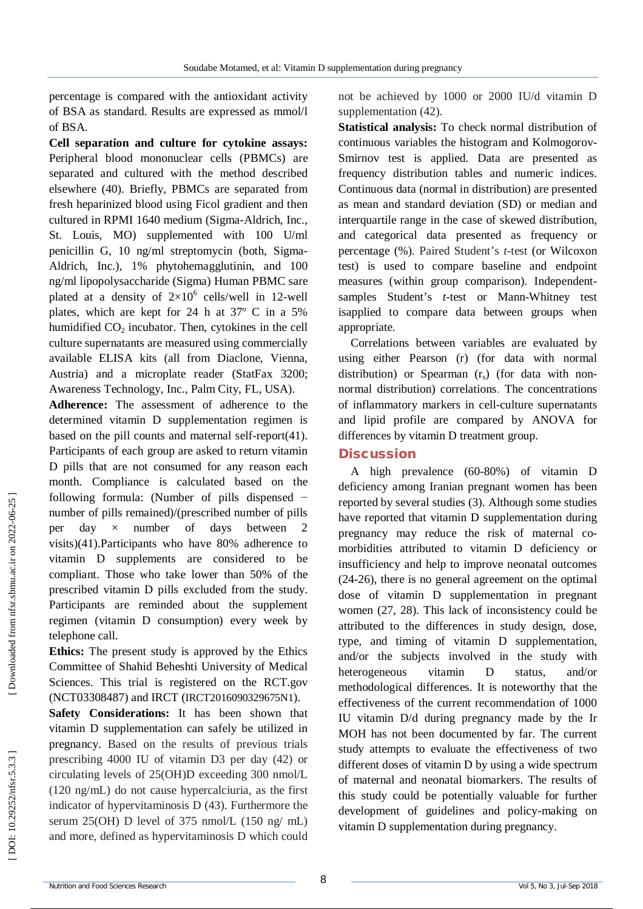percentage is compared with the antioxidant activity of BSA as standard. Results are expressed as mmol/l of BSA.

**Cell separation and culture for cytokine assays:**  Peripheral blood mononuclear cells (PBMCs) are separated and cultured with the method described elsewhere (40 ). Briefly, PBMCs are separated from fresh heparinized blood using Ficol gradient and then cultured in RPMI 1640 medium (Sigma - Aldrich, Inc., St. Louis, MO) supplemented with 100 U/ml penicillin G, 10 ng/ml streptomycin (both, Sigma - Aldrich, Inc.), 1% phytohemagglutinin, and 100 ng/ml lipopolysaccharide (Sigma) Human PBMC sare plated at a density of  $2 \times 10^6$  cells/well in 12-well plates, which are kept for 24 h at 37º C in a 5% humidified CO <sup>2</sup> incubator. Then, cytokines in the cell culture supernatants are measured using commercially available ELISA kits (all from Diaclone, Vienna, Austria) and a microplate reader (StatFax 3200; Awareness Technology, Inc., Palm City, FL, USA).

**Adherence:** The assessment of adherence to the determined vitamin D supplementation regimen is based on the pill counts and maternal self-report(41). Participants of each group are asked to return vitamin D pills that are not consumed for any reason each month. Compliance is calculated based on the following formula: (Number of pills dispensed − number of pills remained)/(prescribed number of pills per day  $\times$  number of days between 2 visits) (41 ).Participants who have 80% adherence to vitamin D supplements are considered to be compliant. Those who take lower than 50% of the prescribed vitamin D pills excluded from the study. Participants are reminded about the supplement regimen (vitamin D consumption) every week by telephone call.

**Ethics:** The present study is approved by the Ethics Committee of Shahid Beheshti University of Medical Sciences. This trial is registered on the RCT.gov (NCT03308487) and IRCT (IRCT2016090329675N1).

**Safety Considerations:** It has been shown that vitamin D supplementation can safely be utilized in pregnancy. Based on the results of previous trials prescribing 4000 IU of vitamin D3 per day (42 ) or circulating levels of 25(OH)D exceeding 300 nmol/L (120 ng/mL) do not cause hypercalciuria, as the first indicator of hypervitaminosis D (43 ). Furthermore the serum 25(OH) D level of 375 nmol/L  $(150 \text{ ng/mL})$ and more, defined as hypervitaminosis D which could

not be achieved by 1000 or 2000 IU/d vitamin D supplementation (42 ).

**Statistical analysis:** To check normal distribution of continuous variables the histogram and Kolmogorov - Smirnov test is applied. Data are presented as frequency distribution tables and numeric indices. Continuous data (normal in distribution) are presented as mean and standard deviation (SD) or median and interquartile range in the case of skewed distribution. and categorical data presented as frequency or percentage (%). Paired Student's *t* -test (or Wilcoxon test) is used to compare baseline and endpoint measures (within group comparison). Independent samples Student's *t*-test or Mann-Whitney test isapplied to compare data between groups when appropriate.

Correlations between variables are evaluated by using either Pearson (r) (for data with normal distribution) or Spearman (r<sub>s</sub>) (for data with nonnormal distribution) correlations . The concentrations of inflammatory markers in cell -culture supernatants and lipid profile are compared by ANOVA for differences by vitamin D treatment group.

#### **Discussion**

A high prevalence (60 -80%) of vitamin D deficiency among Iranian pregnant women has been reported by several studies ( 3 ). Although some studies have reported that vitamin D supplementation during pregnancy may reduce the risk of maternal co morbidities attributed to vitamin D deficiency or insufficiency and help to improve neonatal outcomes (24-26), there is no general agreement on the optimal dose of vitamin D supplementation in pregnant women (27, 28 ). This lack of inconsistency could be attributed to the differences in study design, dose, type, and timing of vitamin D supplementation, and/or the subjects involved in the study with heterogeneous vitamin D status, and/or methodological differences. It is noteworthy that the effectiveness of the current recommendation of 1000 IU vitamin D/d during pregnancy made by the Ir MOH has not been documented by far. The current study attempts to evaluate the effectiveness of two different doses of vitamin D by using a wide spectrum of maternal and neonatal biomarkers. The results of this study could be potentially valuable for further development of guidelines and policy -making on vitamin D supplementation during pregnancy.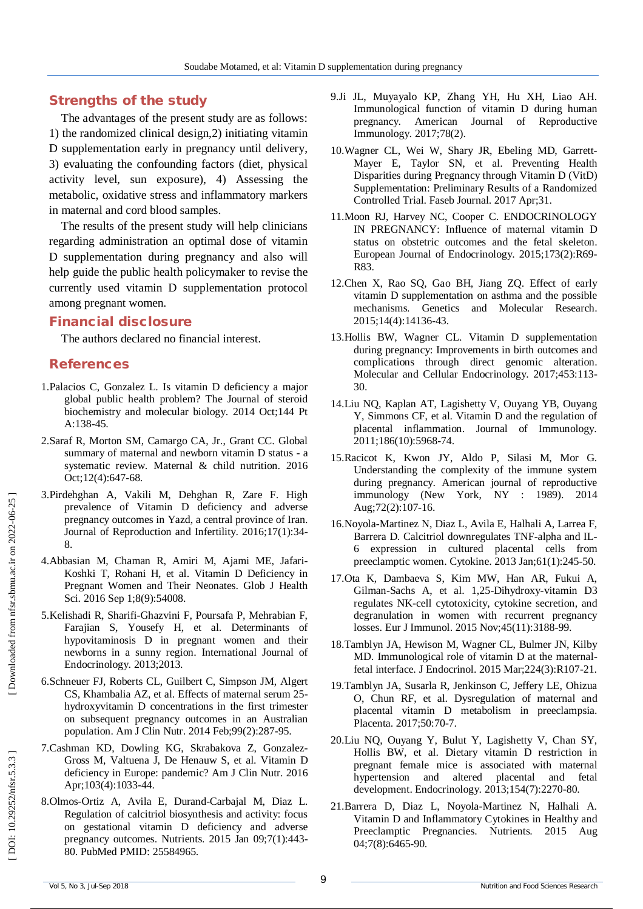# **Strengths of the study**

The advantages of the present study are as follows: 1) the randomized clinical design,2) initiating vitamin D supplementation early in pregnancy until delivery, 3) evaluating the confounding factors (diet, physical activity level, sun exposure), 4) Assessing the metabolic, oxidative stress and inflammatory markers in maternal and cord blood samples.

The results of the present study will help clinicians regarding administration an optimal dose of vitamin D supplementation during pregnancy and also will help guide the public health policymaker to revise the currently used vitamin D supplementation protocol among pregnant women.

# **Financial disclosure**

The authors declared no financial interest.

#### **References**

- 1.Palacios C, Gonzalez L. Is vitamin D deficiency a major global public health problem? The Journal of steroid biochemistry and molecular biology. 2014 Oct;144 Pt A:138 -45.
- 2.Saraf R, Morton SM, Camargo CA, Jr., Grant CC. Global summary of maternal and newborn vitamin D status - a systematic review. Maternal & child nutrition. 2016 Oct;12(4):647 -68.
- 3.Pirdehghan A, Vakili M, Dehghan R, Zare F. High prevalence of Vitamin D deficiency and adverse pregnancy outcomes in Yazd, a central province of Iran. Journal of Reproduction and Infertility. 2016;17(1):34 - 8.
- 4.Abbasian M, Chaman R, Amiri M, Ajami ME, Jafari Koshki T, Rohani H, et al. Vitamin D Deficiency in Pregnant Women and Their Neonates. Glob J Health Sci. 2016 Sep 1;8(9):54008.
- 5.Kelishadi R, Sharifi Ghazvini F, Poursafa P, Mehrabian F, Farajian S, Yousefy H, et al. Determinants of hypovitaminosis D in pregnant women and their newborns in a sunny region. International Journal of Endocrinology. 2013;2013.
- 6.Schneuer FJ, Roberts CL, Guilbert C, Simpson JM, Algert CS, Khambalia AZ, et al. Effects of maternal serum 25 hydroxyvitamin D concentrations in the first trimester on subsequent pregnancy outcomes in an Australian population. Am J Clin Nutr. 2014 Feb;99(2):287 -95.
- 7.Cashman KD, Dowling KG, Skrabakova Z, Gonzalez Gross M, Valtuena J, De Henauw S, et al. Vitamin D deficiency in Europe: pandemic? Am J Clin Nutr. 2016 Apr;103(4):1033 -44.
- 8.Olmos -Ortiz A, Avila E, Durand -Carbajal M, Diaz L. Regulation of calcitriol biosynthesis and activity: focus on gestational vitamin D deficiency and adverse pregnancy outcomes. Nutrients. 2015 Jan 09;7(1):443 - 80. PubMed PMID: 25584965.
- 9.Ji JL, Muyayalo KP, Zhang YH, Hu XH, Liao AH. Immunological function of vitamin D during human pregnancy. American Journal of Reproductive Immunology. 2017;78(2).
- 10.Wagner CL, Wei W, Shary JR, Ebeling MD, Garrett Mayer E, Taylor SN, et al. Preventing Health Disparities during Pregnancy through Vitamin D (VitD) Supplementation: Preliminary Results of a Randomized Controlled Trial. Faseb Journal. 2017 Apr;31.
- 11.Moon RJ, Harvey NC, Cooper C. ENDOCRINOLOGY IN PREGNANCY: Influence of maternal vitamin D status on obstetric outcomes and the fetal skeleton. European Journal of Endocrinology. 2015;173(2):R69 - R83.
- 12.Chen X, Rao SQ, Gao BH, Jiang ZQ. Effect of early vitamin D supplementation on asthma and the possible mechanisms. Genetics and Molecular Research. 2015;14(4):14136 -43.
- 13.Hollis BW, Wagner CL. Vitamin D supplementation during pregnancy: Improvements in birth outcomes and complications through direct genomic alteration. Molecular and Cellular Endocrinology. 2017;453:113 - 30.
- 14.Liu NQ, Kaplan AT, Lagishetty V, Ouyang YB, Ouyang Y, Simmons CF, et al. Vitamin D and the regulation of placental inflammation. Journal of Immunology. 2011;186(10):5968 -74.
- 15.Racicot K, Kwon JY, Aldo P, Silasi M, Mor G. Understanding the complexity of the immune system during pregnancy. American journal of reproductive immunology (New York, NY : 1989). 2014 Aug;72(2):107 -16.
- 16.Noyola -Martinez N, Diaz L, Avila E, Halhali A, Larrea F, Barrera D. Calcitriol downregulates TNF -alpha and IL - 6 expression in cultured placental cells from preeclamptic women. Cytokine. 2013 Jan;61(1):245 -50.
- 17.Ota K, Dambaeva S, Kim MW, Han AR, Fukui A, Gilman -Sachs A, et al. 1,25 -Dihydroxy -vitamin D3 regulates NK -cell cytotoxicity, cytokine secretion, and degranulation in women with recurrent pregnancy losses. Eur J Immunol. 2015 Nov;45(11):3188 -99.
- 18.Tamblyn JA, Hewison M, Wagner CL, Bulmer JN, Kilby MD. Immunological role of vitamin D at the maternal fetal interface. J Endocrinol. 2015 Mar;224(3):R107 -21.
- 19.Tamblyn JA, Susarla R, Jenkinson C, Jeffery LE, Ohizua O, Chun RF, et al. Dysregulation of maternal and placental vitamin D metabolism in preeclampsia. Placenta. 2017;50:70 -7.
- 20.Liu NQ, Ouyang Y, Bulut Y, Lagishetty V, Chan SY, Hollis BW, et al. Dietary vitamin D restriction in pregnant female mice is associated with maternal hypertension and altered placental and fetal development. Endocrinology. 2013;154(7):2270 -80.
- 21.Barrera D, Diaz L, Noyola -Martinez N, Halhali A. Vitamin D and Inflammatory Cytokines in Healthy and Preeclamptic Pregnancies. Nutrients. 2015 Aug 04;7(8):6465 -90.